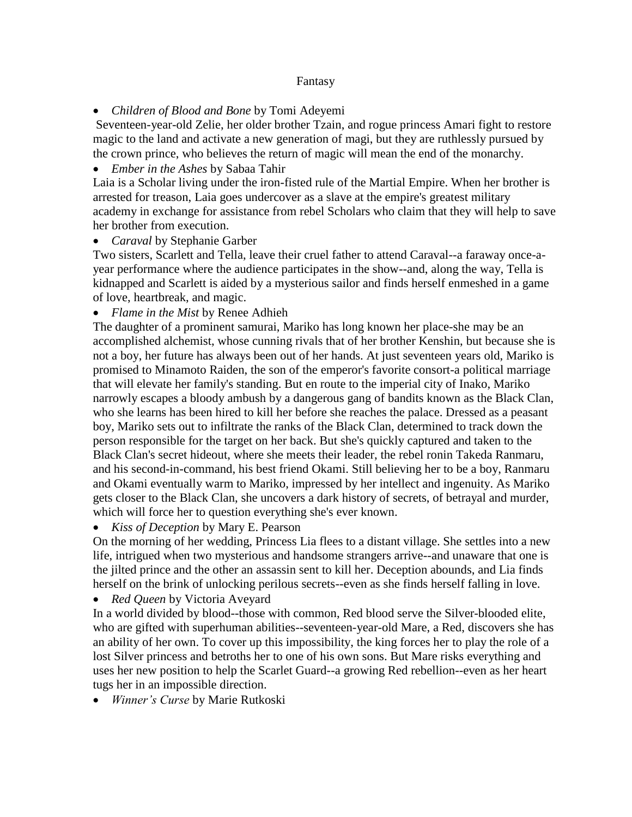## Fantasy

*Children of Blood and Bone* by Tomi Adeyemi

Seventeen-year-old Zelie, her older brother Tzain, and rogue princess Amari fight to restore magic to the land and activate a new generation of magi, but they are ruthlessly pursued by the crown prince, who believes the return of magic will mean the end of the monarchy.

## *Ember in the Ashes* by Sabaa Tahir

Laia is a Scholar living under the iron-fisted rule of the Martial Empire. When her brother is arrested for treason, Laia goes undercover as a slave at the empire's greatest military academy in exchange for assistance from rebel Scholars who claim that they will help to save her brother from execution.

## *Caraval* by Stephanie Garber

Two sisters, Scarlett and Tella, leave their cruel father to attend Caraval--a faraway once-ayear performance where the audience participates in the show--and, along the way, Tella is kidnapped and Scarlett is aided by a mysterious sailor and finds herself enmeshed in a game of love, heartbreak, and magic.

*Flame in the Mist* by Renee Adhieh

The daughter of a prominent samurai, Mariko has long known her place-she may be an accomplished alchemist, whose cunning rivals that of her brother Kenshin, but because she is not a boy, her future has always been out of her hands. At just seventeen years old, Mariko is promised to Minamoto Raiden, the son of the emperor's favorite consort-a political marriage that will elevate her family's standing. But en route to the imperial city of Inako, Mariko narrowly escapes a bloody ambush by a dangerous gang of bandits known as the Black Clan, who she learns has been hired to kill her before she reaches the palace. Dressed as a peasant boy, Mariko sets out to infiltrate the ranks of the Black Clan, determined to track down the person responsible for the target on her back. But she's quickly captured and taken to the Black Clan's secret hideout, where she meets their leader, the rebel ronin Takeda Ranmaru, and his second-in-command, his best friend Okami. Still believing her to be a boy, Ranmaru and Okami eventually warm to Mariko, impressed by her intellect and ingenuity. As Mariko gets closer to the Black Clan, she uncovers a dark history of secrets, of betrayal and murder, which will force her to question everything she's ever known.

*Kiss of Deception* by Mary E. Pearson

On the morning of her wedding, Princess Lia flees to a distant village. She settles into a new life, intrigued when two mysterious and handsome strangers arrive--and unaware that one is the jilted prince and the other an assassin sent to kill her. Deception abounds, and Lia finds herself on the brink of unlocking perilous secrets--even as she finds herself falling in love.

*Red Queen* by Victoria Aveyard

In a world divided by blood--those with common, Red blood serve the Silver-blooded elite, who are gifted with superhuman abilities--seventeen-year-old Mare, a Red, discovers she has an ability of her own. To cover up this impossibility, the king forces her to play the role of a lost Silver princess and betroths her to one of his own sons. But Mare risks everything and uses her new position to help the Scarlet Guard--a growing Red rebellion--even as her heart tugs her in an impossible direction.

*Winner's Curse* by Marie Rutkoski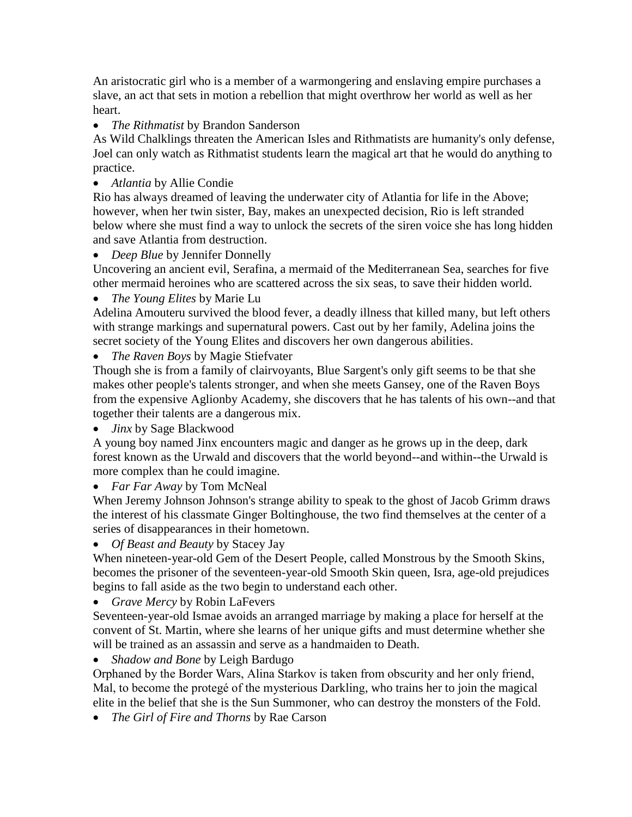An aristocratic girl who is a member of a warmongering and enslaving empire purchases a slave, an act that sets in motion a rebellion that might overthrow her world as well as her heart.

*The Rithmatist* by Brandon Sanderson

As Wild Chalklings threaten the American Isles and Rithmatists are humanity's only defense, Joel can only watch as Rithmatist students learn the magical art that he would do anything to practice.

*Atlantia* by Allie Condie

Rio has always dreamed of leaving the underwater city of Atlantia for life in the Above; however, when her twin sister, Bay, makes an unexpected decision, Rio is left stranded below where she must find a way to unlock the secrets of the siren voice she has long hidden and save Atlantia from destruction.

*Deep Blue* by Jennifer Donnelly

Uncovering an ancient evil, Serafina, a mermaid of the Mediterranean Sea, searches for five other mermaid heroines who are scattered across the six seas, to save their hidden world.

*The Young Elites* by Marie Lu

Adelina Amouteru survived the blood fever, a deadly illness that killed many, but left others with strange markings and supernatural powers. Cast out by her family, Adelina joins the secret society of the Young Elites and discovers her own dangerous abilities.

*The Raven Boys* by Magie Stiefvater

Though she is from a family of clairvoyants, Blue Sargent's only gift seems to be that she makes other people's talents stronger, and when she meets Gansey, one of the Raven Boys from the expensive Aglionby Academy, she discovers that he has talents of his own--and that together their talents are a dangerous mix.

*Jinx* by Sage Blackwood

A young boy named Jinx encounters magic and danger as he grows up in the deep, dark forest known as the Urwald and discovers that the world beyond--and within--the Urwald is more complex than he could imagine.

*Far Far Away* by Tom McNeal

When Jeremy Johnson Johnson's strange ability to speak to the ghost of Jacob Grimm draws the interest of his classmate Ginger Boltinghouse, the two find themselves at the center of a series of disappearances in their hometown.

## *Of Beast and Beauty* by Stacey Jay

When nineteen-year-old Gem of the Desert People, called Monstrous by the Smooth Skins, becomes the prisoner of the seventeen-year-old Smooth Skin queen, Isra, age-old prejudices begins to fall aside as the two begin to understand each other.

*Grave Mercy* by Robin LaFevers

Seventeen-year-old Ismae avoids an arranged marriage by making a place for herself at the convent of St. Martin, where she learns of her unique gifts and must determine whether she will be trained as an assassin and serve as a handmaiden to Death.

*Shadow and Bone* by Leigh Bardugo

Orphaned by the Border Wars, Alina Starkov is taken from obscurity and her only friend, Mal, to become the protegé of the mysterious Darkling, who trains her to join the magical elite in the belief that she is the Sun Summoner, who can destroy the monsters of the Fold.

*The Girl of Fire and Thorns* by Rae Carson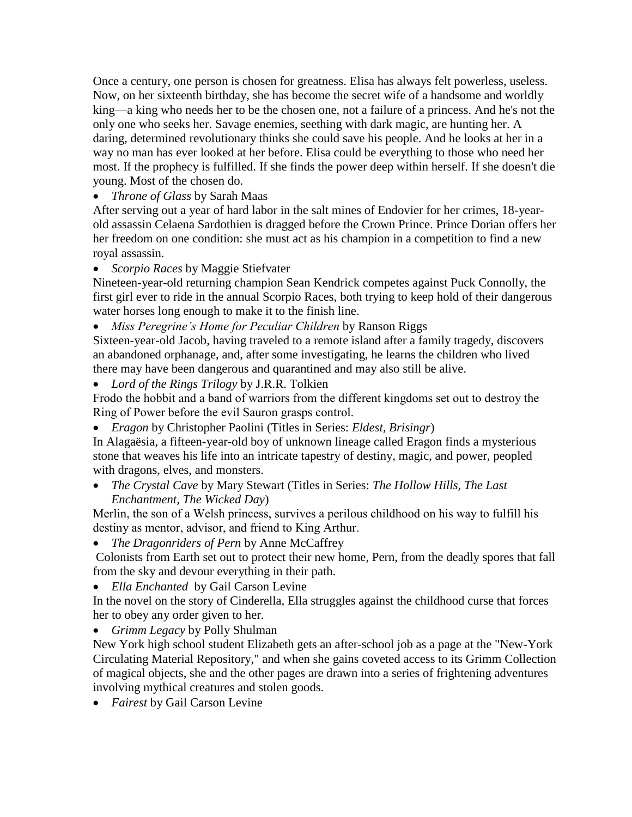Once a century, one person is chosen for greatness. Elisa has always felt powerless, useless. Now, on her sixteenth birthday, she has become the secret wife of a handsome and worldly king—a king who needs her to be the chosen one, not a failure of a princess. And he's not the only one who seeks her. Savage enemies, seething with dark magic, are hunting her. A daring, determined revolutionary thinks she could save his people. And he looks at her in a way no man has ever looked at her before. Elisa could be everything to those who need her most. If the prophecy is fulfilled. If she finds the power deep within herself. If she doesn't die young. Most of the chosen do.

*Throne of Glass* by Sarah Maas

After serving out a year of hard labor in the salt mines of Endovier for her crimes, 18-yearold assassin Celaena Sardothien is dragged before the Crown Prince. Prince Dorian offers her her freedom on one condition: she must act as his champion in a competition to find a new royal assassin.

*Scorpio Races* by Maggie Stiefvater

Nineteen-year-old returning champion Sean Kendrick competes against Puck Connolly, the first girl ever to ride in the annual Scorpio Races, both trying to keep hold of their dangerous water horses long enough to make it to the finish line.

*Miss Peregrine's Home for Peculiar Children* by Ranson Riggs

Sixteen-year-old Jacob, having traveled to a remote island after a family tragedy, discovers an abandoned orphanage, and, after some investigating, he learns the children who lived there may have been dangerous and quarantined and may also still be alive.

*Lord of the Rings Trilogy* by J.R.R. Tolkien

Frodo the hobbit and a band of warriors from the different kingdoms set out to destroy the Ring of Power before the evil Sauron grasps control.

*Eragon* by Christopher Paolini (Titles in Series: *Eldest, Brisingr*)

In Alagaësia, a fifteen-year-old boy of unknown lineage called Eragon finds a mysterious stone that weaves his life into an intricate tapestry of destiny, magic, and power, peopled with dragons, elves, and monsters.

 *The Crystal Cave* by Mary Stewart (Titles in Series: *The Hollow Hills, The Last Enchantment, The Wicked Day*)

Merlin, the son of a Welsh princess, survives a perilous childhood on his way to fulfill his destiny as mentor, advisor, and friend to King Arthur.

*The Dragonriders of Pern* by Anne McCaffrey

Colonists from Earth set out to protect their new home, Pern, from the deadly spores that fall from the sky and devour everything in their path.

*Ella Enchanted* by Gail Carson Levine

In the novel on the story of Cinderella, Ella struggles against the childhood curse that forces her to obey any order given to her.

*Grimm Legacy* by Polly Shulman

New York high school student Elizabeth gets an after-school job as a page at the "New-York Circulating Material Repository," and when she gains coveted access to its Grimm Collection of magical objects, she and the other pages are drawn into a series of frightening adventures involving mythical creatures and stolen goods.

*Fairest* by Gail Carson Levine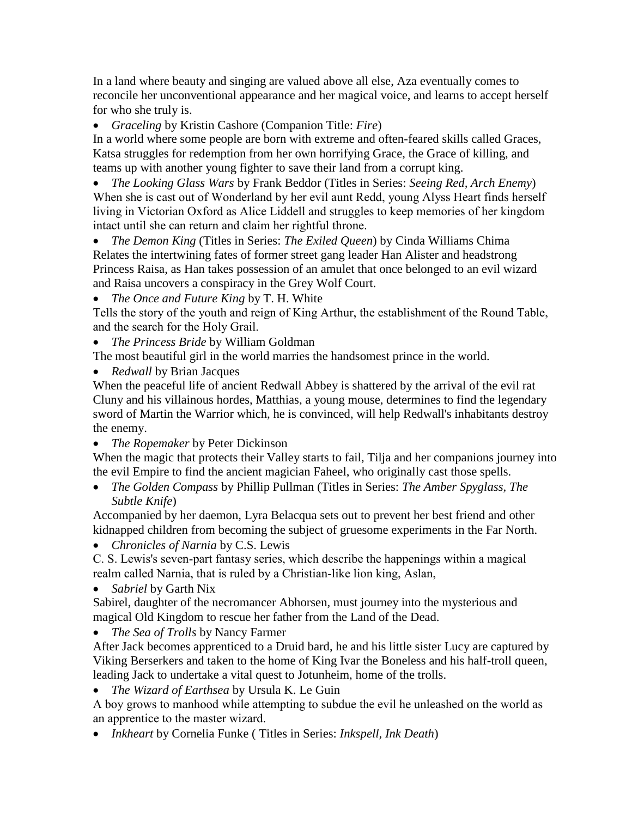In a land where beauty and singing are valued above all else, Aza eventually comes to reconcile her unconventional appearance and her magical voice, and learns to accept herself for who she truly is.

*Graceling* by Kristin Cashore (Companion Title: *Fire*)

In a world where some people are born with extreme and often-feared skills called Graces, Katsa struggles for redemption from her own horrifying Grace, the Grace of killing, and teams up with another young fighter to save their land from a corrupt king.

 *The Looking Glass Wars* by Frank Beddor (Titles in Series: *Seeing Red, Arch Enemy*) When she is cast out of Wonderland by her evil aunt Redd, young Alyss Heart finds herself living in Victorian Oxford as Alice Liddell and struggles to keep memories of her kingdom intact until she can return and claim her rightful throne.

 *The Demon King* (Titles in Series: *The Exiled Queen*) by Cinda Williams Chima Relates the intertwining fates of former street gang leader Han Alister and headstrong Princess Raisa, as Han takes possession of an amulet that once belonged to an evil wizard and Raisa uncovers a conspiracy in the Grey Wolf Court.

*The Once and Future King* by T. H. White

Tells the story of the youth and reign of King Arthur, the establishment of the Round Table, and the search for the Holy Grail.

*The Princess Bride* by William Goldman

The most beautiful girl in the world marries the handsomest prince in the world.

• *Redwall* by Brian Jacques

When the peaceful life of ancient Redwall Abbey is shattered by the arrival of the evil rat Cluny and his villainous hordes, Matthias, a young mouse, determines to find the legendary sword of Martin the Warrior which, he is convinced, will help Redwall's inhabitants destroy the enemy.

*The Ropemaker* by Peter Dickinson

When the magic that protects their Valley starts to fail, Tilja and her companions journey into the evil Empire to find the ancient magician Faheel, who originally cast those spells.

 *The Golden Compass* by Phillip Pullman (Titles in Series: *The Amber Spyglass, The Subtle Knife*)

Accompanied by her daemon, Lyra Belacqua sets out to prevent her best friend and other kidnapped children from becoming the subject of gruesome experiments in the Far North.

*Chronicles of Narnia* by C.S. Lewis

C. S. Lewis's seven-part fantasy series, which describe the happenings within a magical realm called Narnia, that is ruled by a Christian-like lion king, Aslan,

*Sabriel* by Garth Nix

Sabirel, daughter of the necromancer Abhorsen, must journey into the mysterious and magical Old Kingdom to rescue her father from the Land of the Dead.

*The Sea of Trolls* by Nancy Farmer

After Jack becomes apprenticed to a Druid bard, he and his little sister Lucy are captured by Viking Berserkers and taken to the home of King Ivar the Boneless and his half-troll queen, leading Jack to undertake a vital quest to Jotunheim, home of the trolls.

*The Wizard of Earthsea* by Ursula K. Le Guin

A boy grows to manhood while attempting to subdue the evil he unleashed on the world as an apprentice to the master wizard.

*Inkheart* by Cornelia Funke ( Titles in Series: *Inkspell, Ink Death*)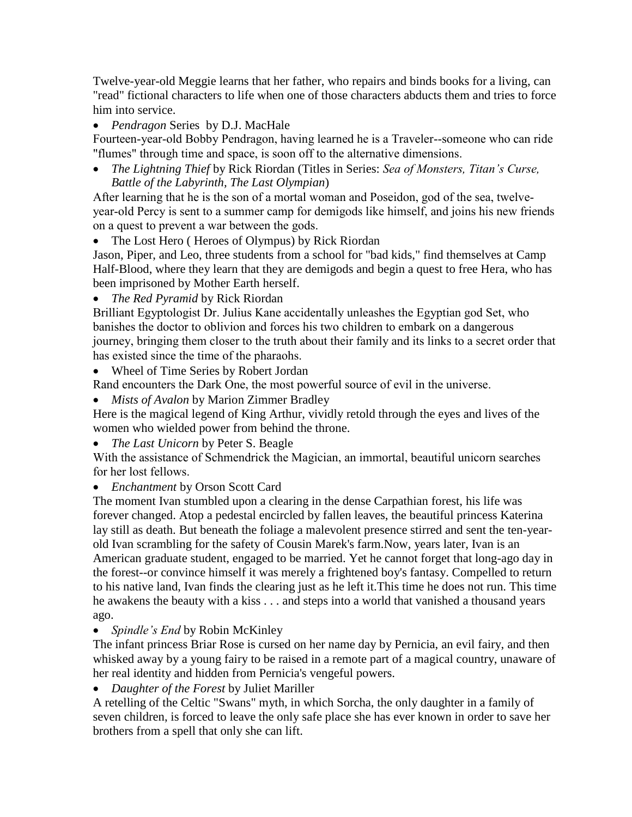Twelve-year-old Meggie learns that her father, who repairs and binds books for a living, can "read" fictional characters to life when one of those characters abducts them and tries to force him into service.

*Pendragon* Series by D.J. MacHale

Fourteen-year-old Bobby Pendragon, having learned he is a Traveler--someone who can ride "flumes" through time and space, is soon off to the alternative dimensions.

 *The Lightning Thief* by Rick Riordan (Titles in Series: *Sea of Monsters, Titan's Curse, Battle of the Labyrinth, The Last Olympian*)

After learning that he is the son of a mortal woman and Poseidon, god of the sea, twelveyear-old Percy is sent to a summer camp for demigods like himself, and joins his new friends on a quest to prevent a war between the gods.

• The Lost Hero (Heroes of Olympus) by Rick Riordan

Jason, Piper, and Leo, three students from a school for "bad kids," find themselves at Camp Half-Blood, where they learn that they are demigods and begin a quest to free Hera, who has been imprisoned by Mother Earth herself.

*The Red Pyramid* by Rick Riordan

Brilliant Egyptologist Dr. Julius Kane accidentally unleashes the Egyptian god Set, who banishes the doctor to oblivion and forces his two children to embark on a dangerous journey, bringing them closer to the truth about their family and its links to a secret order that has existed since the time of the pharaohs.

• Wheel of Time Series by Robert Jordan

Rand encounters the Dark One, the most powerful source of evil in the universe.

*Mists of Avalon* by Marion Zimmer Bradley

Here is the magical legend of King Arthur, vividly retold through the eyes and lives of the women who wielded power from behind the throne.

*The Last Unicorn* by Peter S. Beagle

With the assistance of Schmendrick the Magician, an immortal, beautiful unicorn searches for her lost fellows.

*Enchantment* by Orson Scott Card

The moment Ivan stumbled upon a clearing in the dense Carpathian forest, his life was forever changed. Atop a pedestal encircled by fallen leaves, the beautiful princess Katerina lay still as death. But beneath the foliage a malevolent presence stirred and sent the ten-yearold Ivan scrambling for the safety of Cousin Marek's farm.Now, years later, Ivan is an American graduate student, engaged to be married. Yet he cannot forget that long-ago day in the forest--or convince himself it was merely a frightened boy's fantasy. Compelled to return to his native land, Ivan finds the clearing just as he left it.This time he does not run. This time he awakens the beauty with a kiss . . . and steps into a world that vanished a thousand years ago.

• *Spindle's End* by Robin McKinley

The infant princess Briar Rose is cursed on her name day by Pernicia, an evil fairy, and then whisked away by a young fairy to be raised in a remote part of a magical country, unaware of her real identity and hidden from Pernicia's vengeful powers.

*Daughter of the Forest* by Juliet Mariller

A retelling of the Celtic "Swans" myth, in which Sorcha, the only daughter in a family of seven children, is forced to leave the only safe place she has ever known in order to save her brothers from a spell that only she can lift.